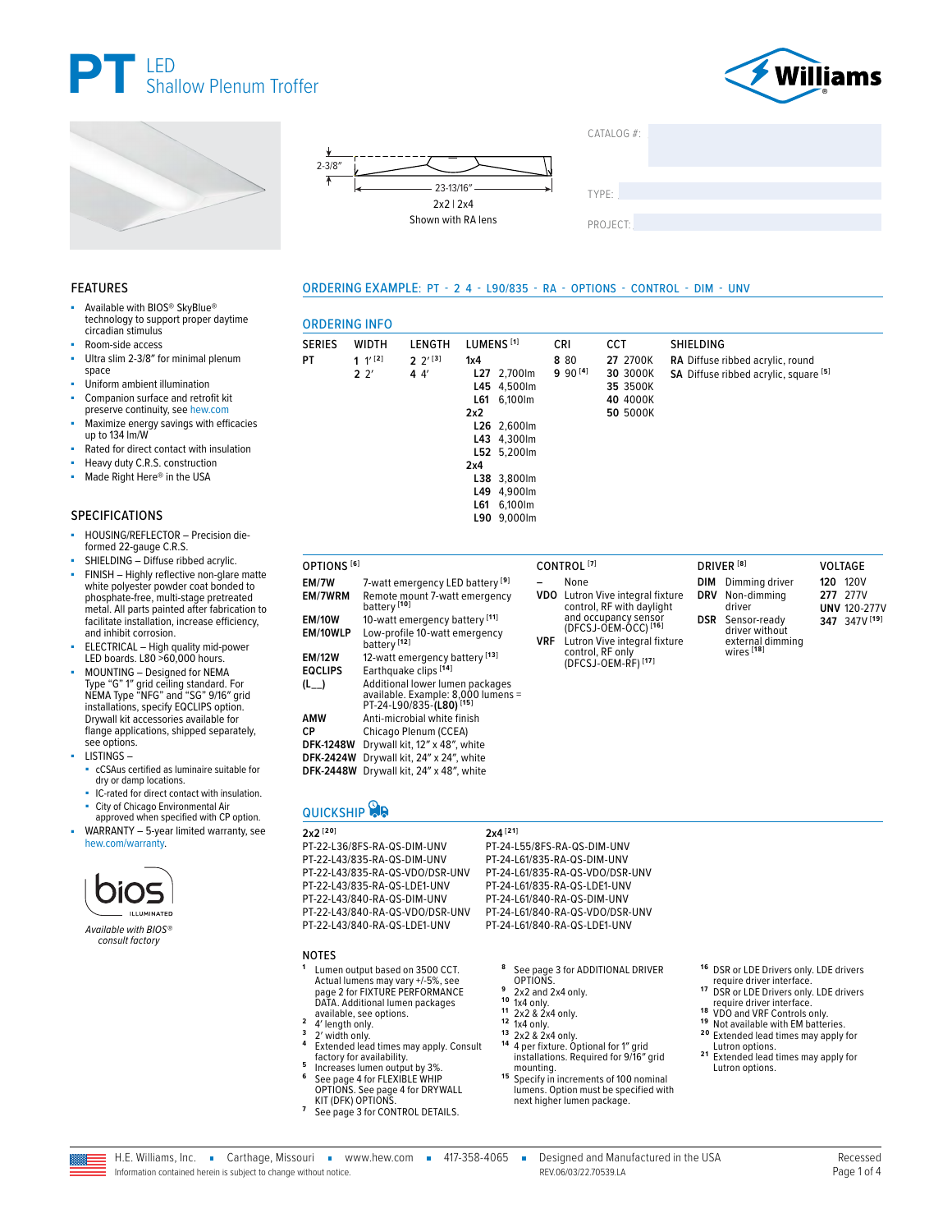





■ Available with BIOS® SkyBlue® technology to support proper daytime

■ ELECTRICAL – High quality mid-power LED boards. L80 >60,000 hours. MOUNTING - Designed for NEMA Type "G" 1″ grid ceiling standard. For NEMA Type "NFG" and "SG" 9/16″ grid installations, specify EQCLIPS option. Drywall kit accessories available for flange applications, shipped separately,

SPECIFICATIONS

FEATURES



#### $CATAI OG #<sup>2</sup>$

TYPE: ����������������������������������������������������

PROJECT:

#### ORDERING EXAMPLE: PT - 2 4 - L90/835 - RA - OPTIONS - CONTROL - DIM - UNV

| technology to support proper daytime<br>circadian stimulus                                                                                                                       | <b>ORDERING INFO</b>            |                                   |                                                                                                              |                       |                            |            |                        |                                                                   |                  |                   |                                                                           |     |                         |
|----------------------------------------------------------------------------------------------------------------------------------------------------------------------------------|---------------------------------|-----------------------------------|--------------------------------------------------------------------------------------------------------------|-----------------------|----------------------------|------------|------------------------|-------------------------------------------------------------------|------------------|-------------------|---------------------------------------------------------------------------|-----|-------------------------|
| Room-side access                                                                                                                                                                 | <b>SERIES</b>                   | <b>WIDTH</b>                      | LENGTH                                                                                                       | LUMENS <sup>[1]</sup> |                            |            | <b>CRI</b>             | <b>CCT</b>                                                        | <b>SHIELDING</b> |                   |                                                                           |     |                         |
| Ultra slim 2-3/8" for minimal plenum<br>space<br>Uniform ambient illumination                                                                                                    | PT                              | $1 \frac{1}{2}$<br>2 <sup>2</sup> | $2^{2^{1}}$<br>44'                                                                                           | 1x4                   | L27 2,700lm<br>L45 4.500lm |            | 8 80<br>$990^{[4]}$    | 27 2700K<br>30 3000K<br>35 3500K                                  |                  |                   | RA Diffuse ribbed acrylic, round<br>SA Diffuse ribbed acrylic, square [5] |     |                         |
| Companion surface and retrofit kit<br>preserve continuity, see hew.com                                                                                                           |                                 |                                   |                                                                                                              | L61<br>2x2            | 6,100lm                    |            |                        | 40 4000K<br>50 5000K                                              |                  |                   |                                                                           |     |                         |
| Maximize energy savings with efficacies<br>up to 134 lm/W                                                                                                                        |                                 |                                   |                                                                                                              |                       | L26 2,600lm<br>L43 4,300lm |            |                        |                                                                   |                  |                   |                                                                           |     |                         |
| Rated for direct contact with insulation                                                                                                                                         |                                 |                                   |                                                                                                              |                       | L52 5,200lm                |            |                        |                                                                   |                  |                   |                                                                           |     |                         |
| Heavy duty C.R.S. construction                                                                                                                                                   |                                 |                                   |                                                                                                              | 2x4                   |                            |            |                        |                                                                   |                  |                   |                                                                           |     |                         |
| Made Right Here® in the USA                                                                                                                                                      |                                 |                                   |                                                                                                              |                       | L38 3,800lm                |            |                        |                                                                   |                  |                   |                                                                           |     |                         |
|                                                                                                                                                                                  |                                 |                                   |                                                                                                              |                       | L49 4.900lm                |            |                        |                                                                   |                  |                   |                                                                           |     |                         |
|                                                                                                                                                                                  |                                 |                                   |                                                                                                              |                       | L61 6.100lm                |            |                        |                                                                   |                  |                   |                                                                           |     |                         |
| PECIFICATIONS                                                                                                                                                                    |                                 |                                   |                                                                                                              |                       | L90 9,000lm                |            |                        |                                                                   |                  |                   |                                                                           |     |                         |
| HOUSING/REFLECTOR - Precision die-<br>formed 22-gauge C.R.S.<br>SHIELDING - Diffuse ribbed acrylic.                                                                              |                                 |                                   |                                                                                                              |                       |                            |            |                        |                                                                   |                  |                   |                                                                           |     |                         |
| FINISH - Highly reflective non-glare matte                                                                                                                                       | OPTIONS <sup>[6]</sup>          |                                   |                                                                                                              |                       |                            |            | CONTROL <sup>[7]</sup> |                                                                   |                  |                   | DRIVER <sup>[8]</sup>                                                     |     | <b>VOLTAGE</b>          |
| white polyester powder coat bonded to<br>phosphate-free, multi-stage pretreated                                                                                                  | EM/7W<br>EM/7WRM                |                                   | 7-watt emergency LED battery <sup>[9]</sup><br>Remote mount 7-watt emergency                                 |                       |                            |            | None                   | <b>VDO</b> Lutron Vive integral fixture                           |                  | DIM<br><b>DRV</b> | Dimming driver<br>Non-dimmina<br>driver                                   | 120 | <b>120V</b><br>277 277V |
| metal. All parts painted after fabrication to                                                                                                                                    | <b>EM/10W</b>                   | battery <sup>[10]</sup>           | 10-watt emergency battery <sup>[11]</sup>                                                                    |                       |                            |            |                        | control, RF with daylight<br>and occupancy sensor                 |                  |                   | DSR Sensor-ready                                                          |     | <b>UNV 120-277V</b>     |
| facilitate installation, increase efficiency,<br>and inhibit corrosion.<br>ELECTRICAL - High quality mid-power<br>LED boards. L80 >60.000 hours.<br>MOUNTING - Designed for NEMA | EM/10WLP                        | battery <sup>[12]</sup>           | Low-profile 10-watt emergency                                                                                |                       |                            | <b>VRF</b> |                        | $(DFCSJ-OEM-OCC)$ <sup>[16]</sup><br>Lutron Vive integral fixture |                  |                   | driver without<br>external dimming                                        |     | 347 347V [19]           |
|                                                                                                                                                                                  | <b>EM/12W</b><br><b>EQCLIPS</b> |                                   | 12-watt emergency battery [13]<br>Earthquake clips [14]                                                      |                       |                            |            |                        | control, RF only<br>(DFCSJ-OEM-RF) <sup>[17]</sup>                |                  |                   | wires <sup>[18]</sup>                                                     |     |                         |
| Type "G" 1" grid ceiling standard. For<br>NEMA Type "NFG" and "SG" 9/16" grid<br>installations, specify EQCLIPS option.                                                          | $(L_{--})$                      |                                   | Additional lower lumen packages<br>available. Example: 8,000 lumens =<br>PT-24-L90/835-(L80) <sup>[15]</sup> |                       |                            |            |                        |                                                                   |                  |                   |                                                                           |     |                         |
| Drywall kit accessories available for                                                                                                                                            | <b>AMW</b>                      |                                   | Anti-microbial white finish                                                                                  |                       |                            |            |                        |                                                                   |                  |                   |                                                                           |     |                         |
| flange applications, shipped separately,                                                                                                                                         | <b>CP</b>                       |                                   | Chicago Plenum (CCEA)                                                                                        |                       |                            |            |                        |                                                                   |                  |                   |                                                                           |     |                         |
| see options.                                                                                                                                                                     | <b>DFK-1248W</b>                |                                   | Drywall kit. 12" x 48", white                                                                                |                       |                            |            |                        |                                                                   |                  |                   |                                                                           |     |                         |

- see options. LISTINGS –
	- cCSAus certified as luminaire suitable for dry or damp locations.
	- IC-rated for direct contact with insulation.
- City of Chicago Environmental Air approved when specified with CP option.
- WARRANTY 5-year limited warranty, see [hew.com/warranty.](https://www.hew.com/resources/warranty-and-terms)



*Available with BIOS® consult factory*

# **QUICKSHIP**

**2x2 [20]** PT-22-L36/8FS-RA-QS-DIM-UNV PT-22-L43/835-RA-QS-DIM-UNV PT-22-L43/835-RA-QS-VDO/DSR-UNV PT-22-L43/835-RA-QS-LDE1-UNV PT-22-L43/840-RA-QS-DIM-UNV PT-22-L43/840-RA-QS-VDO/DSR-UNV PT-22-L43/840-RA-QS-LDE1-UNV

**DFK-2424W** Drywall kit, 24″ x 24″, white **DFK-2448W** Drywall kit, 24″ x 48″, white

#### **NOTES**

- **<sup>1</sup>** Lumen output based on 3500 CCT. Actual lumens may vary +/-5%, [see](#page-1-0)  [page 2 for FIXTURE PERFORMANCE](#page-1-0)  [DATA.](#page-1-0) Additional lumen packages<br>available, see options.<br>4' length only.
- 
- 
- <sup>2</sup><br>
<sup>2</sup> 4′ length only.<br>
<sup>3</sup> 2′ width only.<br>
<sup>4</sup> Extended lead times may apply. Consult<br>
<sup>4</sup> factory for availability.
- factory for availability.<br>**5** Increases lumen output by 3%.<br>**6** See page 4 for FLEXIBLE WHIP<br>[OPTIONS.](#page-3-0) See page 4 for DRYWALL
- [KIT \(DFK\) OPTIONS.](#page-3-1) **<sup>7</sup>** [See page 3 for CONTROL DETAILS.](#page-2-0)
- **<sup>8</sup>** [See page 3 for ADDITIONAL DRIVER](#page-2-1)
- 

PT-24-L55/8FS-RA-QS-DIM-UNV PT-24-L61/835-RA-QS-DIM-UNV PT-24-L61/835-RA-QS-VDO/DSR-UNV PT-24-L61/835-RA-QS-LDE1-UNV PT-24-L61/840-RA-QS-DIM-UNV PT-24-L61/840-RA-QS-VDO/DSR-UNV PT-24-L61/840-RA-QS-LDE1-UNV

**2x4 [21]**

- 
- 
- 
- 
- **9** 2x2 and 2x4 only.<br> **10** 1x4 only.<br> **11** 2x2 & 2x4 only.<br> **12** 1x4 only.<br> **14** 4 per fixture. Optional for 1″ grid<br> **14** 4 per fixture. Optional for 1″ grid<br>
installations. Required for 9/16″ grid
- mounting.<br>
<sup>15</sup> Specify in increments of 100 nominal lumens. Option must be specified with next higher lumen package.
- <sup>16</sup> DSR or LDE Drivers only. LDE drivers<br>
<u>equire</u> driver interface.
- 17 DSR or LDE Drivers only. LDE drivers<br>require driver interface.
- 
- **18** VDO and VRF Controls only.<br>**19** Not available with EM batteries.<br>**20** Extended lead times may apply for Lutron options.<br> **21** Extended lead times may apply for
- Lutron options.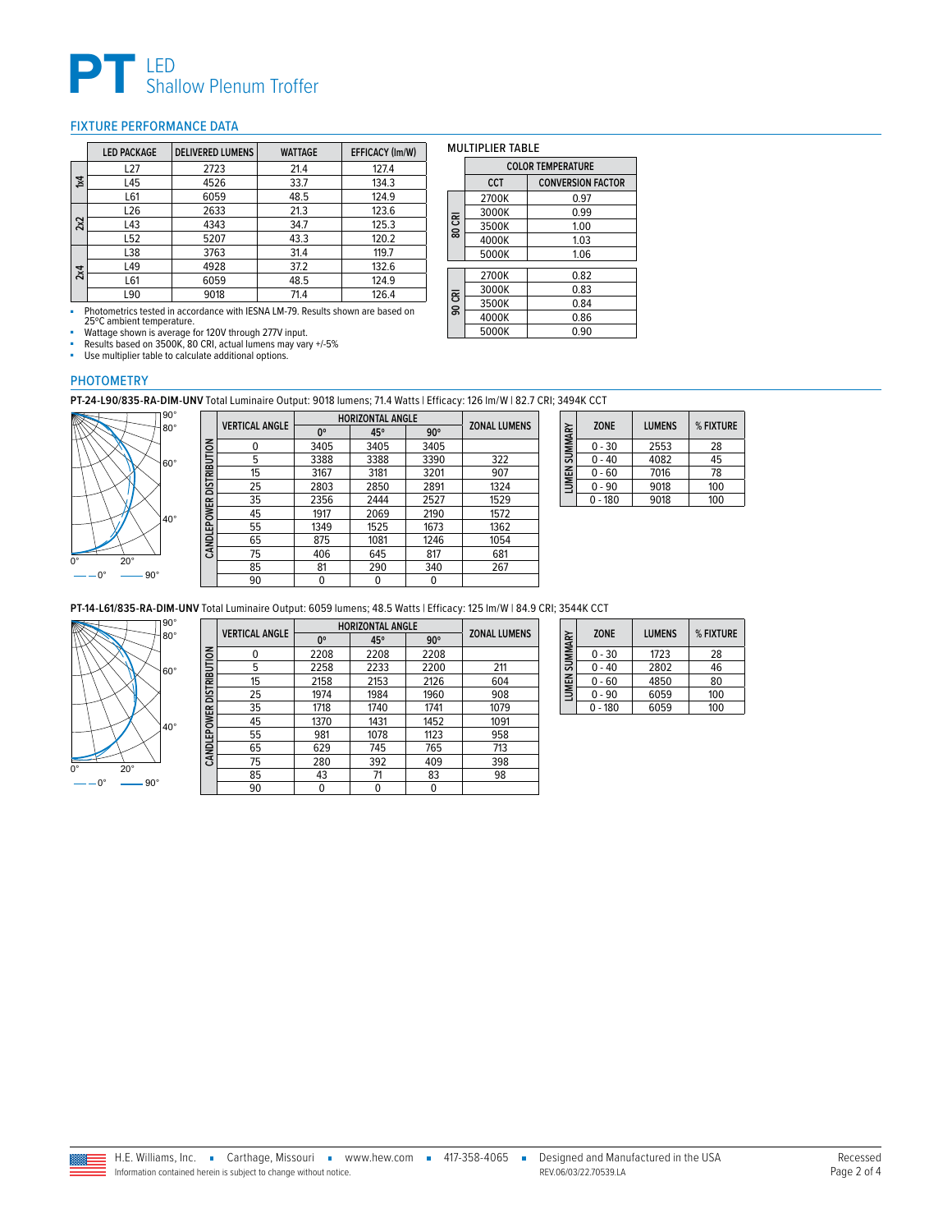

#### <span id="page-1-0"></span>FIXTURE PERFORMANCE DATA

|     | <b>LED PACKAGE</b> | <b>DELIVERED LUMENS</b> | <b>WATTAGE</b> | EFFICACY (Im/W) |
|-----|--------------------|-------------------------|----------------|-----------------|
|     | L <sub>27</sub>    | 2723                    | 21.4           | 127.4           |
| Σţ  | L45                | 4526                    | 33.7           | 134.3           |
|     | L61                | 6059                    | 48.5           | 124.9           |
|     | L <sub>26</sub>    | 2633                    | 21.3           | 123.6           |
| 2x2 | L43                | 4343                    | 34.7           | 125.3           |
|     | L52                | 5207                    | 43.3           | 120.2           |
|     | L38                | 3763                    | 31.4           | 119.7           |
| 2x4 | L49                | 4928                    | 37.2           | 132.6           |
|     | L61                | 6059                    | 48.5           | 124.9           |
|     | L90                | 9018                    | 71.4           | 126.4           |

■ Photometrics tested in accordance with IESNA LM-79. Results shown are based on 25ºC ambient temperature.

■ Wattage shown is average for 120V through 277V input.<br>■ Results based on 3500K, 80 CRI, actual lumens may vary +/-5%

■ Use multiplier table to calculate additional options.

### MULTIPLIER TABLE

|        | <b>COLOR TEMPERATURE</b> |                          |  |  |  |  |
|--------|--------------------------|--------------------------|--|--|--|--|
|        | <b>CCT</b>               | <b>CONVERSION FACTOR</b> |  |  |  |  |
|        | 2700K                    | 0.97                     |  |  |  |  |
|        | 3000K                    | 0.99                     |  |  |  |  |
| 80 CRI | 3500K                    | 1.00                     |  |  |  |  |
|        | 4000K                    | 1.03                     |  |  |  |  |
|        | 5000K                    | 1.06                     |  |  |  |  |
|        | 2700K                    | 0.82                     |  |  |  |  |
|        | 3000K                    | 0.83                     |  |  |  |  |
| 90 CRI | 3500K                    | 0.84                     |  |  |  |  |
|        | 4000K                    | 0.86                     |  |  |  |  |
|        | 5000K                    | 0.90                     |  |  |  |  |

#### PHOTOMETRY

**PT-24-L90/835-RA-DIM-UNV** Total Luminaire Output: 9018 lumens; 71.4 Watts | Efficacy: 126 lm/W | 82.7 CRI; 3494K CCT



|                          | <b>VERTICAL ANGLE</b> | <b>HORIZONTAL ANGLE</b> | <b>ZONAL LUMENS</b> |            |      |
|--------------------------|-----------------------|-------------------------|---------------------|------------|------|
|                          |                       | $0^{\circ}$             | 45°                 | $90^\circ$ |      |
| CANDLEPOWER DISTRIBUTION | 0                     | 3405                    | 3405                | 3405       |      |
|                          | 5                     | 3388                    | 3388                | 3390       | 322  |
|                          | 15                    | 3167                    | 3181                | 3201       | 907  |
|                          | 25                    | 2803                    | 2850                | 2891       | 1324 |
|                          | 35                    | 2356                    | 2444                | 2527       | 1529 |
|                          | 45                    | 1917                    | 2069                | 2190       | 1572 |
|                          | 55                    | 1349                    | 1525                | 1673       | 1362 |
|                          | 65                    | 875                     | 1081                | 1246       | 1054 |
|                          | 75                    | 406                     | 645                 | 817        | 681  |
|                          | 85                    | 81                      | 290                 | 340        | 267  |
|                          | 90                    | 0                       | 0                   | 0          |      |
|                          |                       |                         |                     |            |      |

| LUMEN SUMMARY | <b>ZONE</b> | <b>LUMENS</b> | % FIXTURE |
|---------------|-------------|---------------|-----------|
|               | $0 - 30$    | 2553          | 28        |
|               | $0 - 40$    | 4082          | 45        |
|               | $0 - 60$    | 7016          | 78        |
|               | $-90$       | 9018          | 100       |
|               | $-180$      | 9018          | 100       |

**PT-14-L61/835-RA-DIM-UNV** Total Luminaire Output: 6059 lumens; 48.5 Watts | Efficacy: 125 lm/W | 84.9 CRI; 3544K CCT



|                          | <b>VERTICAL ANGLE</b> | <b>HORIZONTAL ANGLE</b> |      |            | <b>ZONAL LUMENS</b> |
|--------------------------|-----------------------|-------------------------|------|------------|---------------------|
|                          |                       | $0^{\circ}$             | 45°  | $90^\circ$ |                     |
|                          | $\mathbf{0}$          | 2208                    | 2208 | 2208       |                     |
| CANDLEPOWER DISTRIBUTION | 5                     | 2258                    | 2233 | 2200       | 211                 |
|                          | 15                    | 2158                    | 2153 | 2126       | 604                 |
|                          | 25                    | 1974                    | 1984 | 1960       | 908                 |
|                          | 35                    | 1718                    | 1740 | 1741       | 1079                |
|                          | 45                    | 1370                    | 1431 | 1452       | 1091                |
|                          | 55                    | 981                     | 1078 | 1123       | 958                 |
|                          | 65                    | 629                     | 745  | 765        | 713                 |
|                          | 75                    | 280                     | 392  | 409        | 398                 |
|                          | 85                    | 43                      | 71   | 83         | 98                  |
|                          | 90                    |                         |      | 0          |                     |

| LUMEN SUMMARY | <b>ZONE</b> | <b>LUMENS</b> | % FIXTURE |
|---------------|-------------|---------------|-----------|
|               | $0 - 30$    | 1723          | 28        |
|               | 0 - 40      | 2802          | 46        |
|               | $0 - 60$    | 4850          | 80        |
|               | $0 - 90$    | 6059          | 100       |
|               | $0 - 180$   | 6059          | 100       |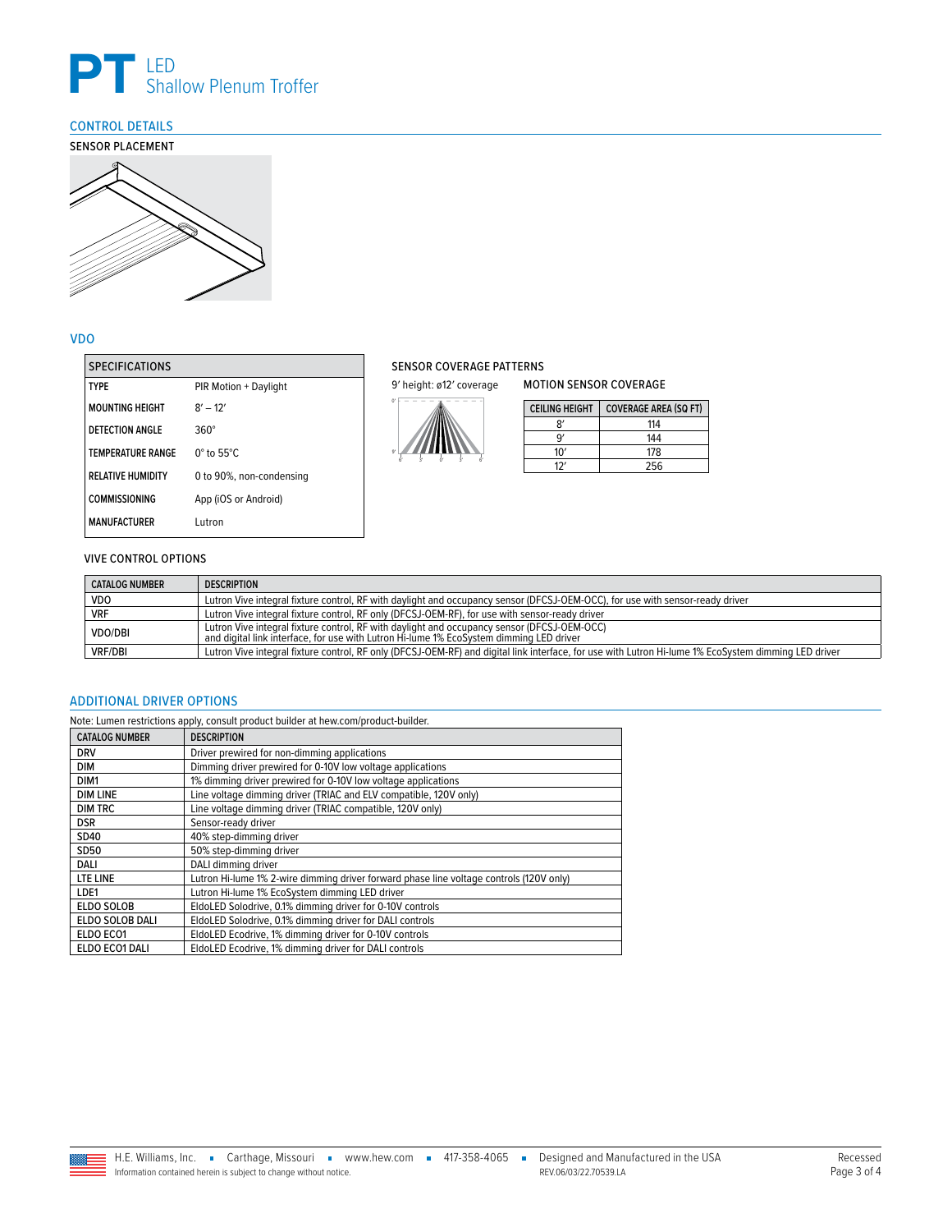

## <span id="page-2-0"></span>CONTROL DETAILS



#### VDO

| <b>SPECIFICATIONS</b>    |                             |
|--------------------------|-----------------------------|
| <b>TYPF</b>              | PIR Motion + Daylight       |
| <b>MOUNTING HEIGHT</b>   | $8' - 12'$                  |
| DETECTION ANGLE          | $360^\circ$                 |
| <b>TEMPERATURE RANGE</b> | $0^\circ$ to 55 $^\circ$ C. |
| <b>RELATIVE HUMIDITY</b> | 0 to 90%, non-condensing    |
| <b>COMMISSIONING</b>     | App (iOS or Android)        |
| <b>MANUFACTURFR</b>      | Lutron                      |

#### SENSOR COVERAGE PATTERNS

9' height: ø12' coverage



| <b>CEILING HEIGHT</b> | <b>COVERAGE AREA (SQ FT)</b> |
|-----------------------|------------------------------|
| R'                    | 114                          |
| ٩                     | 144                          |
| 10'                   | 178                          |
| 17'                   | 256                          |

MOTION SENSOR COVERAGE

#### VIVE CONTROL OPTIONS

| <b>CATALOG NUMBER</b> | <b>DESCRIPTION</b>                                                                                                                                                                     |
|-----------------------|----------------------------------------------------------------------------------------------------------------------------------------------------------------------------------------|
| <b>VDO</b>            | Lutron Vive integral fixture control, RF with daylight and occupancy sensor (DFCSJ-OEM-OCC), for use with sensor-ready driver                                                          |
| <b>VRF</b>            | Lutron Vive integral fixture control, RF only (DFCSJ-OEM-RF), for use with sensor-ready driver                                                                                         |
| <b>VDO/DBI</b>        | Lutron Vive integral fixture control, RF with daylight and occupancy sensor (DFCSJ-OEM-OCC)<br>and digital link interface, for use with Lutron Hi-lume 1% EcoSystem dimming LED driver |
| <b>VRF/DBI</b>        | Lutron Vive integral fixture control, RF only (DFCSJ-OEM-RF) and digital link interface, for use with Lutron Hi-lume 1% EcoSystem dimming LED driver                                   |

#### <span id="page-2-1"></span>ADDITIONAL DRIVER OPTIONS

Note: Lumen restrictions apply, consult product builder at hew.com/product-builder.

| <b>CATALOG NUMBER</b> | <b>DESCRIPTION</b>                                                                      |
|-----------------------|-----------------------------------------------------------------------------------------|
| <b>DRV</b>            | Driver prewired for non-dimming applications                                            |
| <b>DIM</b>            | Dimming driver prewired for 0-10V low voltage applications                              |
| DIM1                  | 1% dimming driver prewired for 0-10V low voltage applications                           |
| <b>DIM LINE</b>       | Line voltage dimming driver (TRIAC and ELV compatible, 120V only)                       |
| <b>DIM TRC</b>        | Line voltage dimming driver (TRIAC compatible, 120V only)                               |
| <b>DSR</b>            | Sensor-ready driver                                                                     |
| SD40                  | 40% step-dimming driver                                                                 |
| <b>SD50</b>           | 50% step-dimming driver                                                                 |
| DALI                  | DALI dimming driver                                                                     |
| LTE LINE              | Lutron Hi-lume 1% 2-wire dimming driver forward phase line voltage controls (120V only) |
| LDE1                  | Lutron Hi-lume 1% EcoSystem dimming LED driver                                          |
| ELDO SOLOB            | EldoLED Solodrive, 0.1% dimming driver for 0-10V controls                               |
| ELDO SOLOB DALI       | EldoLED Solodrive, 0.1% dimming driver for DALI controls                                |
| ELDO ECO1             | EldoLED Ecodrive, 1% dimming driver for 0-10V controls                                  |
| ELDO ECO1 DALI        | EldoLED Ecodrive, 1% dimming driver for DALI controls                                   |